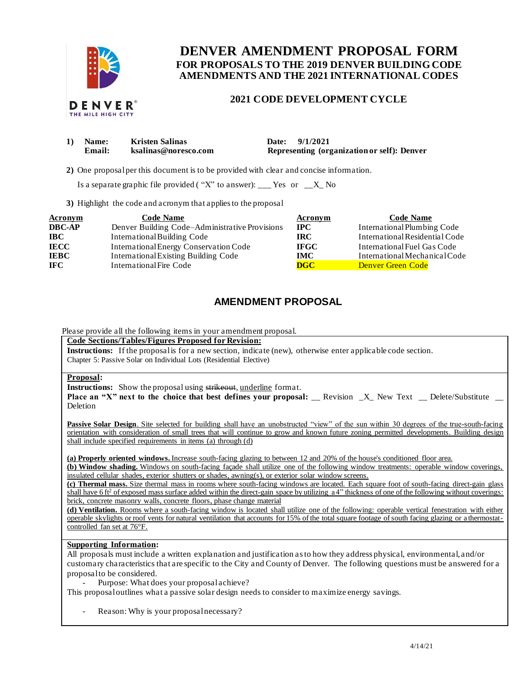

# **FOR PROPOSALS TO THE 2019 DENVER BUILDING CODE DENVER AMENDMENT PROPOSAL FORM AMENDMENTS AND THE 2021 INTERNATIONAL CODES**

## **2021 CODE DEVELOPMENT CYCLE**

| 1) Name:<br>Email: | <b>Kristen Salinas</b><br>ksalinas@noresco.com | Date: 9/1/2021<br>Representing (organization or self): Denver |
|--------------------|------------------------------------------------|---------------------------------------------------------------|
|                    |                                                |                                                               |
|                    |                                                |                                                               |

**2)** One proposalper this document is to be provided with clear and concise information.

Is a separate graphic file provided ("X" to answer): \_\_\_ Yes or  $X_N$  No

**3)** Highlight the code and acronym that applies to the proposal

| <b>Acronym</b> | <b>Code Name</b>                               | Acronym     | <b>Code Name</b>               |
|----------------|------------------------------------------------|-------------|--------------------------------|
| <b>DBC-AP</b>  | Denver Building Code–Administrative Provisions | $\bf IPC$   | International Plumbing Code    |
| <b>IBC</b>     | International Building Code                    | IRC.        | International Residential Code |
| <b>IECC</b>    | International Energy Conservation Code         | <b>IFGC</b> | International Fuel Gas Code    |
| <b>IEBC</b>    | <b>International Existing Building Code</b>    | <b>IMC</b>  | International Mechanical Code  |
| <b>IFC</b>     | International Fire Code                        | <b>DGC</b>  | <b>Denver Green Code</b>       |

# **AMENDMENT PROPOSAL**

Please provide all the following items in your amendment proposal.

 **Code Sections/Tables/Figures Proposed for Revision:** 

**Instructions:** If the proposal is for a new section, indicate (new), otherwise enter applicable code section. Chapter 5: Passive Solar on Individual Lots (Residential Elective)

#### **Proposal:**

**Instructions:** Show the proposal using strikeout, underline format.

**Place an "X" next to the choice that best defines your proposal: \_\_ Revision \_X\_ New Text \_\_ Delete/Substitute \_\_** Deletion

Passive Solar Design. Site selected for building shall have an unobstructed "view" of the sun within 30 degrees of the true-south-facing orientation with consideration of small trees that will continue to grow and known future zoning permitted developments. Building design shall include specified requirements in items (a) through (d)

**(a) Properly oriented windows.** Increase south-facing glazing to between 12 and 20% of the house's conditioned floor area.

 **(b) Window shading.** Windows on south-facing façade shall utilize one of the following window treatments: operable window coverings, insulated cellular shades, exterior shutters or shades, awning(s), or exterior solar window screens.

shall have 6 ft<sup>2</sup> of exposed mass surface added within the direct-gain space by utilizing a 4" thickness of one of the following without coverings: **(c) Thermal mass.** Size thermal mass in rooms where south-facing windows are located. Each square foot of south-facing direct-gain glass brick, concrete masonry walls, concrete floors, phase change material

 **(d) Ventilation.** Rooms where a south-facing window is located shall utilize one of the following: operable vertical fenestration with either operable skylights or roof vents for natural ventilation that accounts for 15% of the total square footage of south facing glazing or a thermostatcontrolled fan set at 76°F.

### **Supporting Information:**

 All proposals must include a written explanation and justification as to how they address physical, environmental, and/or customary characteristics that are specific to the City and County of Denver. The following questions must be answered for a proposal to be considered.

- Purpose: What does your proposal achieve?

This proposal outlines what a passive solar design needs to consider to maximize energy savings.

- Reason: Why is your proposal necessary?